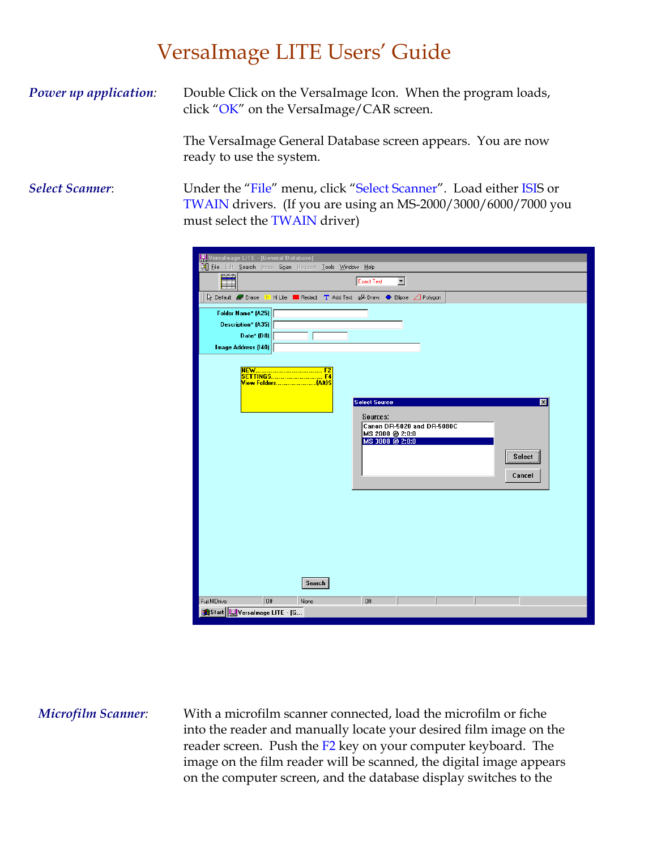## VersaImage LITE Users' Guide

**Power up application:** Double Click on the VersaImage Icon. When the program loads, click "OK" on the VersaImage/CAR screen.

> The VersaImage General Database screen appears. You are now ready to use the system.

*Select Scanner*: Under the "File" menu, click "Select Scanner". Load either ISIS or TWAIN drivers. (If you are using an MS-2000/3000/6000/7000 you must select the TWAIN driver)

| Versalmage LITE - [General Database]                                                                                                                                                |
|-------------------------------------------------------------------------------------------------------------------------------------------------------------------------------------|
| [2] File Edit Search Index Soan Request Tools Window Help                                                                                                                           |
| $\blacksquare$<br><b>Exact Text</b>                                                                                                                                                 |
| Redact T Add Text 2 Draw ● Ellipse A Polygon                                                                                                                                        |
| Folder Name* (A25)                                                                                                                                                                  |
| Description* (A35)                                                                                                                                                                  |
| Date* $(D8)$                                                                                                                                                                        |
| Image Address (140)                                                                                                                                                                 |
| <b>Select Source</b><br>$\times$<br>Sources:<br>Canon DR-5020 and DR-5080C<br>MS 2000 @ 2:0:0<br>MS 3000 @ 2:0:0<br>Select<br>Cancel<br>Search<br>Off<br>Off<br>Fuji MDrive<br>None |
|                                                                                                                                                                                     |
|                                                                                                                                                                                     |
| Start   U Versalmage LITE - [G                                                                                                                                                      |

*Microfilm Scanner*: With a microfilm scanner connected, load the microfilm or fiche into the reader and manually locate your desired film image on the reader screen. Push the F2 key on your computer keyboard. The image on the film reader will be scanned, the digital image appears on the computer screen, and the database display switches to the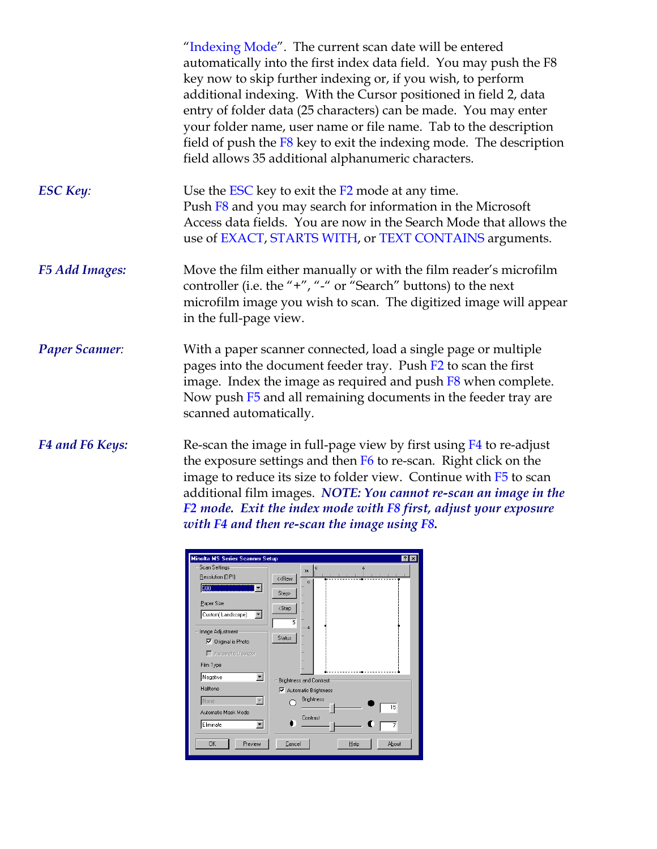|                        | "Indexing Mode". The current scan date will be entered<br>automatically into the first index data field. You may push the F8<br>key now to skip further indexing or, if you wish, to perform<br>additional indexing. With the Cursor positioned in field 2, data<br>entry of folder data (25 characters) can be made. You may enter<br>your folder name, user name or file name. Tab to the description<br>field of push the F8 key to exit the indexing mode. The description<br>field allows 35 additional alphanumeric characters. |
|------------------------|---------------------------------------------------------------------------------------------------------------------------------------------------------------------------------------------------------------------------------------------------------------------------------------------------------------------------------------------------------------------------------------------------------------------------------------------------------------------------------------------------------------------------------------|
| <b>ESC Key:</b>        | Use the ESC key to exit the F2 mode at any time.<br>Push F8 and you may search for information in the Microsoft<br>Access data fields. You are now in the Search Mode that allows the<br>use of EXACT, STARTS WITH, or TEXT CONTAINS arguments.                                                                                                                                                                                                                                                                                       |
| <b>F5 Add Images:</b>  | Move the film either manually or with the film reader's microfilm<br>controller (i.e. the "+", "-" or "Search" buttons) to the next<br>microfilm image you wish to scan. The digitized image will appear<br>in the full-page view.                                                                                                                                                                                                                                                                                                    |
| <b>Paper Scanner:</b>  | With a paper scanner connected, load a single page or multiple<br>pages into the document feeder tray. Push F2 to scan the first<br>image. Index the image as required and push $F8$ when complete.<br>Now push F5 and all remaining documents in the feeder tray are<br>scanned automatically.                                                                                                                                                                                                                                       |
| <b>F4 and F6 Keys:</b> | Re-scan the image in full-page view by first using $F4$ to re-adjust<br>the exposure settings and then F6 to re-scan. Right click on the<br>image to reduce its size to folder view. Continue with F5 to scan<br>additional film images. NOTE: You cannot re-scan an image in the<br>F2 mode. Exit the index mode with F8 first, adjust your exposure                                                                                                                                                                                 |

| Minolta MS Series Scanner Setup | $ ?  \times$                          |
|---------------------------------|---------------------------------------|
| Scan Settings:                  | $\overline{Q}$<br>ő.<br>In.           |
| Resolution (DPI)                | < <rew<br><math>\circ</math></rew<br> |
| 300<br>▼                        | Step>                                 |
| Paper Size                      |                                       |
| Custom(Landscape)<br>▼          | <step< td=""></step<>                 |
|                                 | $\overline{5}$                        |
| Image Adjustment                | S.                                    |
| Original is Photo<br>⊽          | Status                                |
| Automatic Deskew                |                                       |
|                                 |                                       |
| Film Type                       |                                       |
| Negative<br>▼                   | <b>Brightness and Contrast</b>        |
| Halftone                        | <b>▽</b> Automatic Brightness         |
| None                            | <b>Brightness</b>                     |
| Automatic Mask Mode             | 15                                    |
|                                 | Contrast                              |
| Eliminate                       | 7                                     |
| Preview<br><b>OK</b>            | Cancel<br>About<br>Help               |

*with F4 and then re-scan the image using F8.*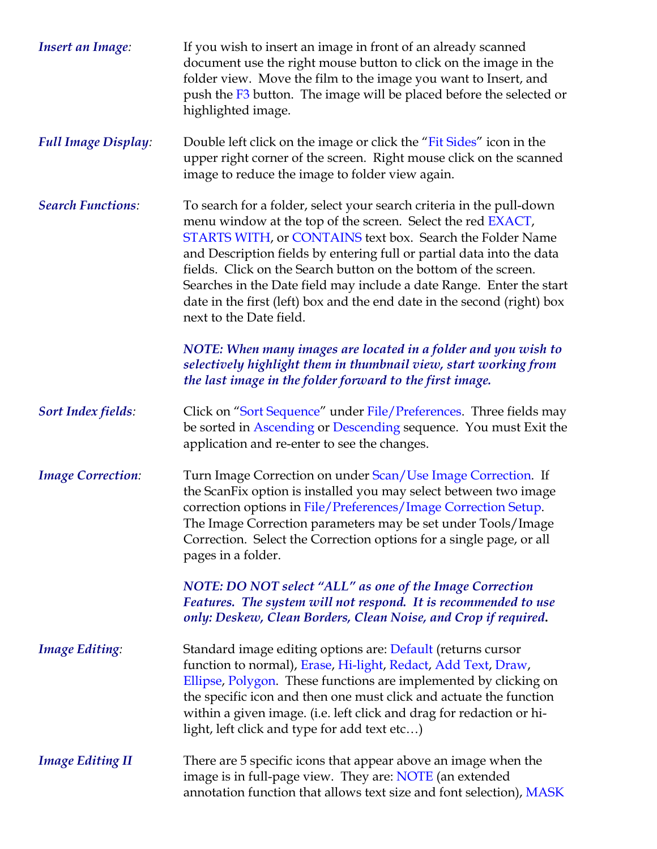| <b>Insert an Image:</b>    | If you wish to insert an image in front of an already scanned<br>document use the right mouse button to click on the image in the<br>folder view. Move the film to the image you want to Insert, and<br>push the F3 button. The image will be placed before the selected or<br>highlighted image.                                                                                                                                                                                                                          |
|----------------------------|----------------------------------------------------------------------------------------------------------------------------------------------------------------------------------------------------------------------------------------------------------------------------------------------------------------------------------------------------------------------------------------------------------------------------------------------------------------------------------------------------------------------------|
| <b>Full Image Display:</b> | Double left click on the image or click the "Fit Sides" icon in the<br>upper right corner of the screen. Right mouse click on the scanned<br>image to reduce the image to folder view again.                                                                                                                                                                                                                                                                                                                               |
| <b>Search Functions:</b>   | To search for a folder, select your search criteria in the pull-down<br>menu window at the top of the screen. Select the red EXACT,<br>STARTS WITH, or CONTAINS text box. Search the Folder Name<br>and Description fields by entering full or partial data into the data<br>fields. Click on the Search button on the bottom of the screen.<br>Searches in the Date field may include a date Range. Enter the start<br>date in the first (left) box and the end date in the second (right) box<br>next to the Date field. |
|                            | NOTE: When many images are located in a folder and you wish to<br>selectively highlight them in thumbnail view, start working from<br>the last image in the folder forward to the first image.                                                                                                                                                                                                                                                                                                                             |
| <b>Sort Index fields:</b>  | Click on "Sort Sequence" under File/Preferences. Three fields may<br>be sorted in Ascending or Descending sequence. You must Exit the<br>application and re-enter to see the changes.                                                                                                                                                                                                                                                                                                                                      |
| <b>Image Correction:</b>   | Turn Image Correction on under Scan/Use Image Correction. If<br>the ScanFix option is installed you may select between two image<br>correction options in File/Preferences/Image Correction Setup.<br>The Image Correction parameters may be set under Tools/Image<br>Correction. Select the Correction options for a single page, or all<br>pages in a folder.                                                                                                                                                            |
|                            | NOTE: DO NOT select "ALL" as one of the Image Correction<br>Features. The system will not respond. It is recommended to use<br>only: Deskew, Clean Borders, Clean Noise, and Crop if required.                                                                                                                                                                                                                                                                                                                             |
| <b>Image Editing:</b>      | Standard image editing options are: Default (returns cursor<br>function to normal), Erase, Hi-light, Redact, Add Text, Draw,<br>Ellipse, Polygon. These functions are implemented by clicking on<br>the specific icon and then one must click and actuate the function<br>within a given image. (i.e. left click and drag for redaction or hi-<br>light, left click and type for add text etc)                                                                                                                             |
| <b>Image Editing II</b>    | There are 5 specific icons that appear above an image when the<br>image is in full-page view. They are: NOTE (an extended<br>annotation function that allows text size and font selection), MASK                                                                                                                                                                                                                                                                                                                           |